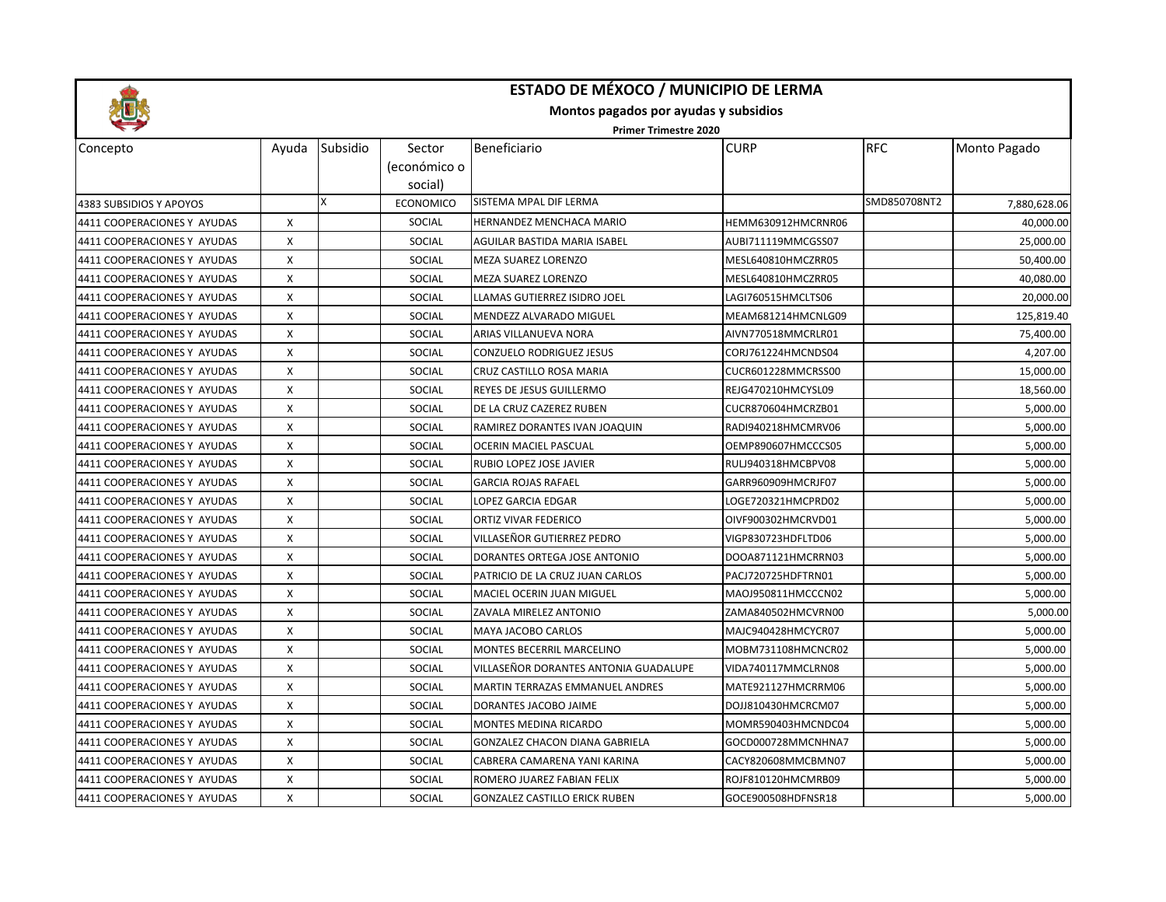

## **ESTADO DE MÉXOCO / MUNICIPIO DE LERMA**

**Montos pagados por ayudas y subsidios**

**Primer Trimestre 2020**

| Concepto                    | Ayuda | Subsidio | Sector<br>(económico o<br>social) | Beneficiario                          | <b>CURP</b>        | <b>RFC</b>   | Monto Pagado |
|-----------------------------|-------|----------|-----------------------------------|---------------------------------------|--------------------|--------------|--------------|
| 4383 SUBSIDIOS Y APOYOS     |       | X        | <b>ECONOMICO</b>                  | SISTEMA MPAL DIF LERMA                |                    | SMD850708NT2 | 7,880,628.06 |
| 4411 COOPERACIONES Y AYUDAS | X     |          | <b>SOCIAL</b>                     | HERNANDEZ MENCHACA MARIO              | HEMM630912HMCRNR06 |              | 40,000.00    |
| 4411 COOPERACIONES Y AYUDAS | X     |          | SOCIAL                            | AGUILAR BASTIDA MARIA ISABEL          | AUBI711119MMCGSS07 |              | 25,000.00    |
| 4411 COOPERACIONES Y AYUDAS | X     |          | SOCIAL                            | MEZA SUAREZ LORENZO                   | MESL640810HMCZRR05 |              | 50,400.00    |
| 4411 COOPERACIONES Y AYUDAS | X     |          | SOCIAL                            | MEZA SUAREZ LORENZO                   | MESL640810HMCZRR05 |              | 40,080.00    |
| 4411 COOPERACIONES Y AYUDAS | X     |          | SOCIAL                            | LLAMAS GUTIERREZ ISIDRO JOEL          | LAGI760515HMCLTS06 |              | 20,000.00    |
| 4411 COOPERACIONES Y AYUDAS | X     |          | SOCIAL                            | MENDEZZ ALVARADO MIGUEL               | MEAM681214HMCNLG09 |              | 125,819.40   |
| 4411 COOPERACIONES Y AYUDAS | X     |          | SOCIAL                            | ARIAS VILLANUEVA NORA                 | AIVN770518MMCRLR01 |              | 75,400.00    |
| 4411 COOPERACIONES Y AYUDAS | X     |          | SOCIAL                            | CONZUELO RODRIGUEZ JESUS              | CORJ761224HMCNDS04 |              | 4,207.00     |
| 4411 COOPERACIONES Y AYUDAS | X     |          | SOCIAL                            | CRUZ CASTILLO ROSA MARIA              | CUCR601228MMCRSS00 |              | 15,000.00    |
| 4411 COOPERACIONES Y AYUDAS | X     |          | SOCIAL                            | REYES DE JESUS GUILLERMO              | REJG470210HMCYSL09 |              | 18,560.00    |
| 4411 COOPERACIONES Y AYUDAS | X     |          | SOCIAL                            | DE LA CRUZ CAZEREZ RUBEN              | CUCR870604HMCRZB01 |              | 5,000.00     |
| 4411 COOPERACIONES Y AYUDAS | X     |          | SOCIAL                            | RAMIREZ DORANTES IVAN JOAQUIN         | RADI940218HMCMRV06 |              | 5,000.00     |
| 4411 COOPERACIONES Y AYUDAS | X     |          | <b>SOCIAL</b>                     | <b>OCERIN MACIEL PASCUAL</b>          | OEMP890607HMCCCS05 |              | 5,000.00     |
| 4411 COOPERACIONES Y AYUDAS | X     |          | SOCIAL                            | RUBIO LOPEZ JOSE JAVIER               | RULJ940318HMCBPV08 |              | 5,000.00     |
| 4411 COOPERACIONES Y AYUDAS | X     |          | SOCIAL                            | <b>GARCIA ROJAS RAFAEL</b>            | GARR960909HMCRJF07 |              | 5,000.00     |
| 4411 COOPERACIONES Y AYUDAS | X     |          | SOCIAL                            | LOPEZ GARCIA EDGAR                    | LOGE720321HMCPRD02 |              | 5,000.00     |
| 4411 COOPERACIONES Y AYUDAS | X     |          | SOCIAL                            | ORTIZ VIVAR FEDERICO                  | OIVF900302HMCRVD01 |              | 5,000.00     |
| 4411 COOPERACIONES Y AYUDAS | X     |          | SOCIAL                            | VILLASEÑOR GUTIERREZ PEDRO            | VIGP830723HDFLTD06 |              | 5,000.00     |
| 4411 COOPERACIONES Y AYUDAS | X     |          | SOCIAL                            | DORANTES ORTEGA JOSE ANTONIO          | DOOA871121HMCRRN03 |              | 5,000.00     |
| 4411 COOPERACIONES Y AYUDAS | X     |          | <b>SOCIAL</b>                     | PATRICIO DE LA CRUZ JUAN CARLOS       | PACJ720725HDFTRN01 |              | 5,000.00     |
| 4411 COOPERACIONES Y AYUDAS | X     |          | SOCIAL                            | MACIEL OCERIN JUAN MIGUEL             | MAOJ950811HMCCCN02 |              | 5,000.00     |
| 4411 COOPERACIONES Y AYUDAS | X     |          | SOCIAL                            | ZAVALA MIRELEZ ANTONIO                | ZAMA840502HMCVRN00 |              | 5,000.00     |
| 4411 COOPERACIONES Y AYUDAS | X     |          | SOCIAL                            | MAYA JACOBO CARLOS                    | MAJC940428HMCYCR07 |              | 5,000.00     |
| 4411 COOPERACIONES Y AYUDAS | X     |          | SOCIAL                            | MONTES BECERRIL MARCELINO             | MOBM731108HMCNCR02 |              | 5,000.00     |
| 4411 COOPERACIONES Y AYUDAS | X     |          | <b>SOCIAL</b>                     | VILLASEÑOR DORANTES ANTONIA GUADALUPE | VIDA740117MMCLRN08 |              | 5,000.00     |
| 4411 COOPERACIONES Y AYUDAS | X     |          | SOCIAL                            | MARTIN TERRAZAS EMMANUEL ANDRES       | MATE921127HMCRRM06 |              | 5,000.00     |
| 4411 COOPERACIONES Y AYUDAS | X     |          | <b>SOCIAL</b>                     | DORANTES JACOBO JAIME                 | DOJJ810430HMCRCM07 |              | 5,000.00     |
| 4411 COOPERACIONES Y AYUDAS | X     |          | SOCIAL                            | <b>MONTES MEDINA RICARDO</b>          | MOMR590403HMCNDC04 |              | 5,000.00     |
| 4411 COOPERACIONES Y AYUDAS | X     |          | SOCIAL                            | GONZALEZ CHACON DIANA GABRIELA        | GOCD000728MMCNHNA7 |              | 5,000.00     |
| 4411 COOPERACIONES Y AYUDAS | X     |          | SOCIAL                            | CABRERA CAMARENA YANI KARINA          | CACY820608MMCBMN07 |              | 5,000.00     |
| 4411 COOPERACIONES Y AYUDAS | Χ     |          | SOCIAL                            | ROMERO JUAREZ FABIAN FELIX            | ROJF810120HMCMRB09 |              | 5,000.00     |
| 4411 COOPERACIONES Y AYUDAS | X     |          | <b>SOCIAL</b>                     | <b>GONZALEZ CASTILLO ERICK RUBEN</b>  | GOCE900508HDFNSR18 |              | 5,000.00     |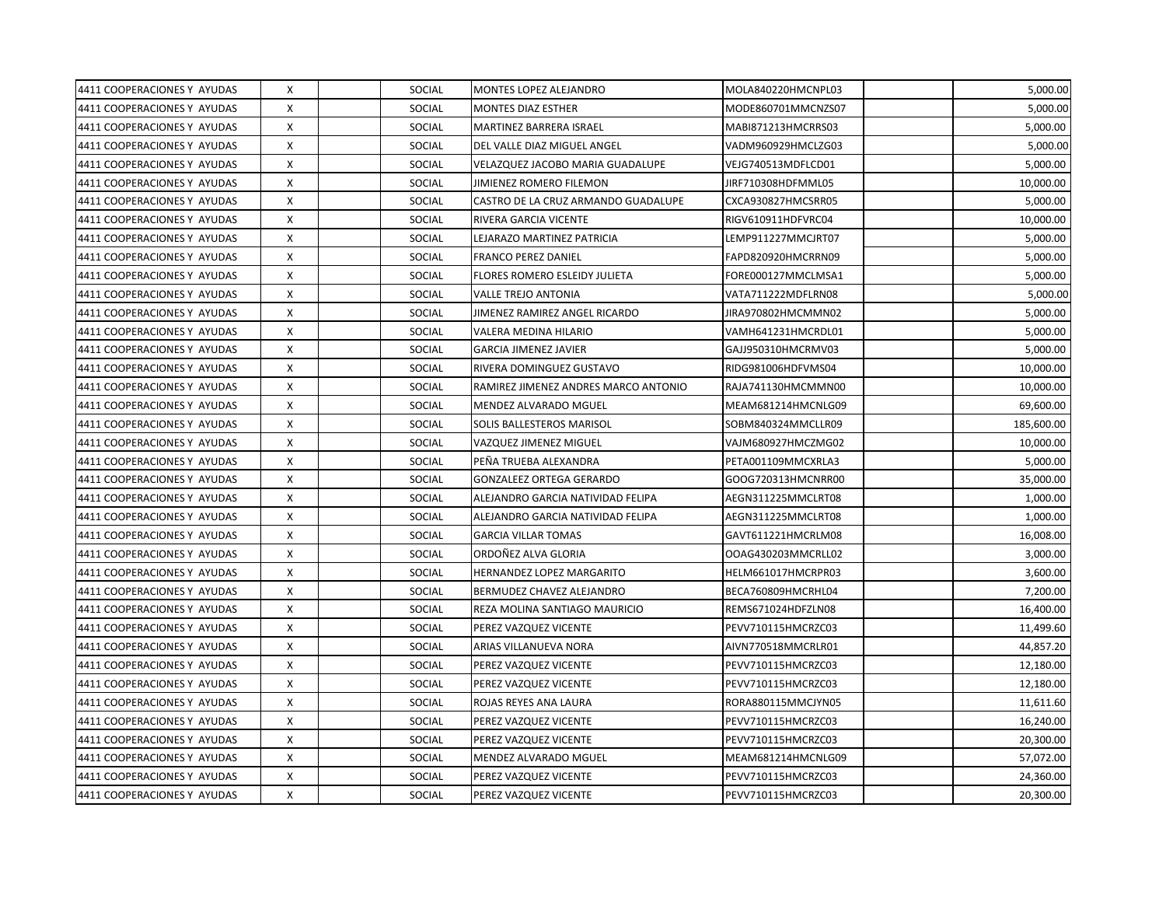| 4411 COOPERACIONES Y AYUDAS | X | <b>SOCIAL</b> | MONTES LOPEZ ALEJANDRO               | MOLA840220HMCNPL03 | 5,000.00   |
|-----------------------------|---|---------------|--------------------------------------|--------------------|------------|
| 4411 COOPERACIONES Y AYUDAS | X | SOCIAL        | <b>MONTES DIAZ ESTHER</b>            | MODE860701MMCNZS07 | 5,000.00   |
| 4411 COOPERACIONES Y AYUDAS | Χ | <b>SOCIAL</b> | MARTINEZ BARRERA ISRAEL              | MABI871213HMCRRS03 | 5,000.00   |
| 4411 COOPERACIONES Y AYUDAS | X | <b>SOCIAL</b> | DEL VALLE DIAZ MIGUEL ANGEL          | VADM960929HMCLZG03 | 5,000.00   |
| 4411 COOPERACIONES Y AYUDAS | X | SOCIAL        | VELAZQUEZ JACOBO MARIA GUADALUPE     | VEJG740513MDFLCD01 | 5,000.00   |
| 4411 COOPERACIONES Y AYUDAS | X | SOCIAL        | JIMIENEZ ROMERO FILEMON              | JIRF710308HDFMML05 | 10,000.00  |
| 4411 COOPERACIONES Y AYUDAS | X | SOCIAL        | CASTRO DE LA CRUZ ARMANDO GUADALUPE  | CXCA930827HMCSRR05 | 5,000.00   |
| 4411 COOPERACIONES Y AYUDAS | X | SOCIAL        | RIVERA GARCIA VICENTE                | RIGV610911HDFVRC04 | 10,000.00  |
| 4411 COOPERACIONES Y AYUDAS | X | SOCIAL        | LEJARAZO MARTINEZ PATRICIA           | LEMP911227MMCJRT07 | 5,000.00   |
| 4411 COOPERACIONES Y AYUDAS | X | SOCIAL        | <b>FRANCO PEREZ DANIEL</b>           | FAPD820920HMCRRN09 | 5,000.00   |
| 4411 COOPERACIONES Y AYUDAS | X | SOCIAL        | FLORES ROMERO ESLEIDY JULIETA        | FORE000127MMCLMSA1 | 5,000.00   |
| 4411 COOPERACIONES Y AYUDAS | X | SOCIAL        | <b>VALLE TREJO ANTONIA</b>           | VATA711222MDFLRN08 | 5,000.00   |
| 4411 COOPERACIONES Y AYUDAS | X | <b>SOCIAL</b> | JIMENEZ RAMIREZ ANGEL RICARDO        | IIRA970802HMCMMN02 | 5,000.00   |
| 4411 COOPERACIONES Y AYUDAS | X | SOCIAL        | VALERA MEDINA HILARIO                | VAMH641231HMCRDL01 | 5,000.00   |
| 4411 COOPERACIONES Y AYUDAS | X | <b>SOCIAL</b> | <b>GARCIA JIMENEZ JAVIER</b>         | GAJJ950310HMCRMV03 | 5,000.00   |
| 4411 COOPERACIONES Y AYUDAS | X | SOCIAL        | RIVERA DOMINGUEZ GUSTAVO             | RIDG981006HDFVMS04 | 10,000.00  |
| 4411 COOPERACIONES Y AYUDAS | X | SOCIAL        | RAMIREZ JIMENEZ ANDRES MARCO ANTONIO | RAJA741130HMCMMN00 | 10,000.00  |
| 4411 COOPERACIONES Y AYUDAS | X | <b>SOCIAL</b> | MENDEZ ALVARADO MGUEL                | MEAM681214HMCNLG09 | 69,600.00  |
| 4411 COOPERACIONES Y AYUDAS | X | <b>SOCIAL</b> | SOLIS BALLESTEROS MARISOL            | SOBM840324MMCLLR09 | 185,600.00 |
| 4411 COOPERACIONES Y AYUDAS | X | SOCIAL        | VAZQUEZ JIMENEZ MIGUEL               | VAJM680927HMCZMG02 | 10,000.00  |
| 4411 COOPERACIONES Y AYUDAS | X | SOCIAL        | PEÑA TRUEBA ALEXANDRA                | PETA001109MMCXRLA3 | 5,000.00   |
| 4411 COOPERACIONES Y AYUDAS | X | SOCIAL        | GONZALEEZ ORTEGA GERARDO             | GOOG720313HMCNRR00 | 35,000.00  |
| 4411 COOPERACIONES Y AYUDAS | X | SOCIAL        | ALEJANDRO GARCIA NATIVIDAD FELIPA    | AEGN311225MMCLRT08 | 1,000.00   |
| 4411 COOPERACIONES Y AYUDAS | X | SOCIAL        | ALEJANDRO GARCIA NATIVIDAD FELIPA    | AEGN311225MMCLRT08 | 1,000.00   |
| 4411 COOPERACIONES Y AYUDAS | X | <b>SOCIAL</b> | <b>GARCIA VILLAR TOMAS</b>           | GAVT611221HMCRLM08 | 16,008.00  |
| 4411 COOPERACIONES Y AYUDAS | X | SOCIAL        | ORDOÑEZ ALVA GLORIA                  | OOAG430203MMCRLL02 | 3,000.00   |
| 4411 COOPERACIONES Y AYUDAS | X | SOCIAL        | HERNANDEZ LOPEZ MARGARITO            | HELM661017HMCRPR03 | 3,600.00   |
| 4411 COOPERACIONES Y AYUDAS | X | <b>SOCIAL</b> | BERMUDEZ CHAVEZ ALEJANDRO            | BECA760809HMCRHL04 | 7,200.00   |
| 4411 COOPERACIONES Y AYUDAS | X | SOCIAL        | REZA MOLINA SANTIAGO MAURICIO        | REMS671024HDFZLN08 | 16,400.00  |
| 4411 COOPERACIONES Y AYUDAS | X | SOCIAL        | PEREZ VAZQUEZ VICENTE                | PEVV710115HMCRZC03 | 11,499.60  |
| 4411 COOPERACIONES Y AYUDAS | X | <b>SOCIAL</b> | ARIAS VILLANUEVA NORA                | AIVN770518MMCRLR01 | 44,857.20  |
| 4411 COOPERACIONES Y AYUDAS | X | SOCIAL        | PEREZ VAZQUEZ VICENTE                | PEVV710115HMCRZC03 | 12,180.00  |
| 4411 COOPERACIONES Y AYUDAS | X | SOCIAL        | PEREZ VAZQUEZ VICENTE                | PEVV710115HMCRZC03 | 12,180.00  |
| 4411 COOPERACIONES Y AYUDAS | X | SOCIAL        | ROJAS REYES ANA LAURA                | RORA880115MMCJYN05 | 11,611.60  |
| 4411 COOPERACIONES Y AYUDAS | X | SOCIAL        | PEREZ VAZQUEZ VICENTE                | PEVV710115HMCRZC03 | 16,240.00  |
| 4411 COOPERACIONES Y AYUDAS | X | <b>SOCIAL</b> | PEREZ VAZQUEZ VICENTE                | PEVV710115HMCRZC03 | 20,300.00  |
| 4411 COOPERACIONES Y AYUDAS | X | <b>SOCIAL</b> | MENDEZ ALVARADO MGUEL                | MEAM681214HMCNLG09 | 57,072.00  |
| 4411 COOPERACIONES Y AYUDAS | X | SOCIAL        | PEREZ VAZQUEZ VICENTE                | PEVV710115HMCRZC03 | 24,360.00  |
| 4411 COOPERACIONES Y AYUDAS | X | SOCIAL        | PEREZ VAZQUEZ VICENTE                | PEVV710115HMCRZC03 | 20,300.00  |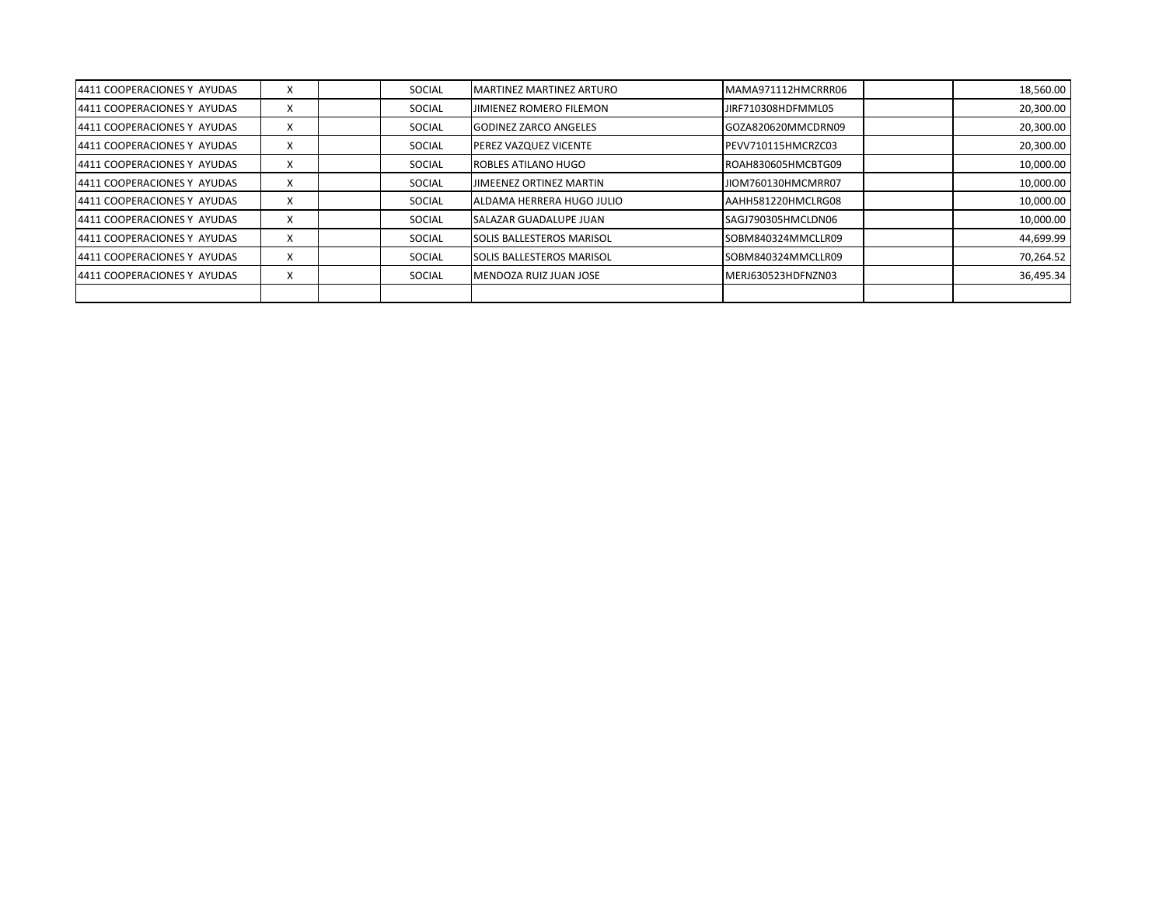| 4411 COOPERACIONES Y AYUDAS | X | SOCIAL        | <b>MARTINEZ MARTINEZ ARTURO</b> | MAMA971112HMCRRR06 | 18,560.00 |
|-----------------------------|---|---------------|---------------------------------|--------------------|-----------|
| 4411 COOPERACIONES Y AYUDAS | X | SOCIAL        | JIMIENEZ ROMERO FILEMON         | JIRF710308HDFMML05 | 20,300.00 |
| 4411 COOPERACIONES Y AYUDAS | X | <b>SOCIAL</b> | <b>GODINEZ ZARCO ANGELES</b>    | GOZA820620MMCDRN09 | 20,300.00 |
| 4411 COOPERACIONES Y AYUDAS | X | SOCIAL        | PEREZ VAZQUEZ VICENTE           | PEVV710115HMCRZC03 | 20,300.00 |
| 4411 COOPERACIONES Y AYUDAS | X | SOCIAL        | ROBLES ATILANO HUGO             | ROAH830605HMCBTG09 | 10,000.00 |
| 4411 COOPERACIONES Y AYUDAS | X | SOCIAL        | JIMEENEZ ORTINEZ MARTIN         | JIOM760130HMCMRR07 | 10,000.00 |
| 4411 COOPERACIONES Y AYUDAS | X | SOCIAL        | ALDAMA HERRERA HUGO JULIO       | AAHH581220HMCLRG08 | 10,000.00 |
| 4411 COOPERACIONES Y AYUDAS | X | <b>SOCIAL</b> | SALAZAR GUADALUPE JUAN          | SAGJ790305HMCLDN06 | 10,000.00 |
| 4411 COOPERACIONES Y AYUDAS | X | SOCIAL        | SOLIS BALLESTEROS MARISOL       | SOBM840324MMCLLR09 | 44,699.99 |
| 4411 COOPERACIONES Y AYUDAS | X | SOCIAL        | SOLIS BALLESTEROS MARISOL       | SOBM840324MMCLLR09 | 70,264.52 |
| 4411 COOPERACIONES Y AYUDAS | X | SOCIAL        | <b>IMENDOZA RUIZ JUAN JOSE</b>  | MERJ630523HDFNZN03 | 36,495.34 |
|                             |   |               |                                 |                    |           |